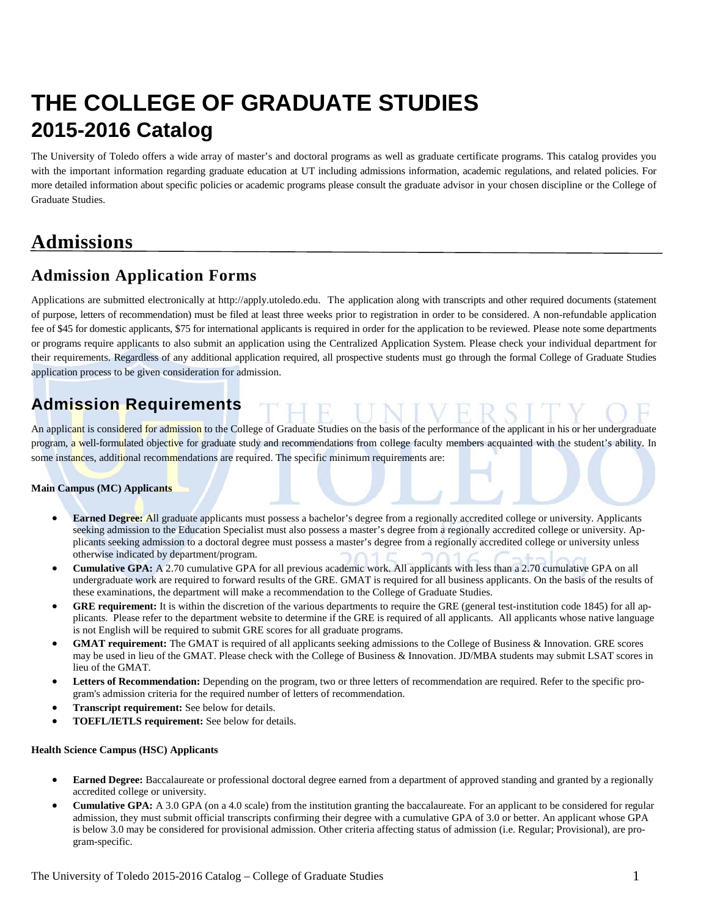# **THE COLLEGE OF GRADUATE STUDIES 2015-2016 Catalog**

The University of Toledo offers a wide array of master's and doctoral programs as well as graduate certificate programs. This catalog provides you with the important information regarding graduate education at UT including admissions information, academic regulations, and related policies. For more detailed information about specific policies or academic programs please consult the graduate advisor in your chosen discipline or the College of Graduate Studies.

## **Admissions**

### **Admission Application Forms**

Applications are submitted electronically at http://apply.utoledo.edu.The application along with transcripts and other required documents (statement of purpose, letters of recommendation) must be filed at least three weeks prior to registration in order to be considered. A non-refundable application fee of \$45 for domestic applicants, \$75 for international applicants is required in order for the application to be reviewed. Please note some departments or programs require applicants to also submit an application using the Centralized Application System. Please check your individual department for their requirements. Regardless of any additional application required, all prospective students must go through the formal College of Graduate Studies application process to be given consideration for admission.

### **Admission Requirements**

An applicant is considered for admission to the College of Graduate Studies on the basis of the performance of the applicant in his or her undergraduate program, a well-formulated objective for graduate study and recommendations from college faculty members acquainted with the student's ability. In some instances, additional recommendations are required. The specific minimum requirements are:

#### **Main Campus (MC) Applicants**

- **Earned Degree:** All graduate applicants must possess a bachelor's degree from a regionally accredited college or university. Applicants seeking admission to the Education Specialist must also possess a master's degree from a regionally accredited college or university. Applicants seeking admission to a doctoral degree must possess a master's degree from a regionally accredited college or university unless otherwise indicated by department/program.
- **Cumulative GPA:** A 2.70 cumulative GPA for all previous academic work. All applicants with less than a 2.70 cumulative GPA on all undergraduate work are required to forward results of the GRE. GMAT is required for all business applicants. On the basis of the results of these examinations, the department will make a recommendation to the College of Graduate Studies.
- **GRE requirement:** It is within the discretion of the various departments to require the GRE (general test-institution code 1845) for all applicants. Please refer to the department website to determine if the GRE is required of all applicants. All applicants whose native language is not English will be required to submit GRE scores for all graduate programs.
- **GMAT requirement:** The GMAT is required of all applicants seeking admissions to the College of Business & Innovation. GRE scores may be used in lieu of the GMAT. Please check with the College of Business & Innovation. JD/MBA students may submit LSAT scores in lieu of the GMAT.
- Letters of Recommendation: Depending on the program, two or three letters of recommendation are required. Refer to the specific program's admission criteria for the required number of letters of recommendation.
- **Transcript requirement:** See below for details.
- **TOEFL/IETLS requirement:** See below for details.

#### **Health Science Campus (HSC) Applicants**

- **Earned Degree:** Baccalaureate or professional doctoral degree earned from a department of approved standing and granted by a regionally accredited college or university.
- **Cumulative GPA:** A 3.0 GPA (on a 4.0 scale) from the institution granting the baccalaureate. For an applicant to be considered for regular admission, they must submit official transcripts confirming their degree with a cumulative GPA of 3.0 or better. An applicant whose GPA is below 3.0 may be considered for provisional admission. Other criteria affecting status of admission (i.e. Regular; Provisional), are program-specific.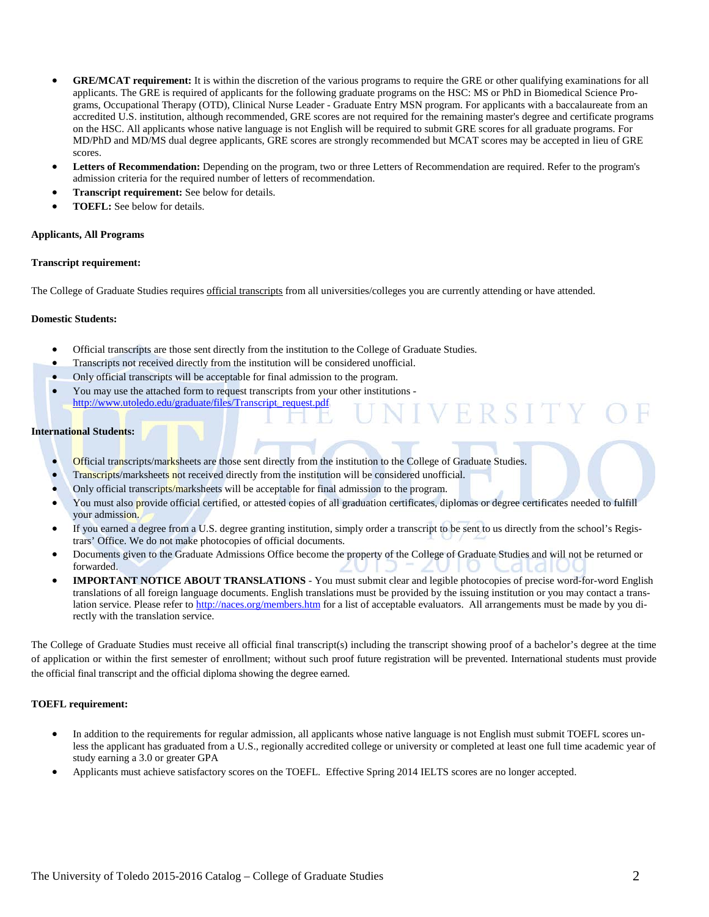- **GRE/MCAT requirement:** It is within the discretion of the various programs to require the GRE or other qualifying examinations for all applicants. The GRE is required of applicants for the following graduate programs on the HSC: MS or PhD in Biomedical Science Programs, Occupational Therapy (OTD), Clinical Nurse Leader - Graduate Entry MSN program. For applicants with a baccalaureate from an accredited U.S. institution, although recommended, GRE scores are not required for the remaining master's degree and certificate programs on the HSC. All applicants whose native language is not English will be required to submit GRE scores for all graduate programs. For MD/PhD and MD/MS dual degree applicants, GRE scores are strongly recommended but MCAT scores may be accepted in lieu of GRE scores.
- **Letters of Recommendation:** Depending on the program, two or three Letters of Recommendation are required. Refer to the program's admission criteria for the required number of letters of recommendation.
- **Transcript requirement:** See below for details.
- **TOEFL:** See below for details.

#### **Applicants, All Programs**

#### **Transcript requirement:**

The College of Graduate Studies requires official transcripts from all universities/colleges you are currently attending or have attended.

#### **Domestic Students:**

- Official transcripts are those sent directly from the institution to the College of Graduate Studies.
- Transcripts not received directly from the institution will be considered unofficial.
- Only official transcripts will be acceptable for final admission to the program.
- You may use the attached form to request transcripts from your other institutions [http://www.utoledo.edu/graduate/files/Transcript\\_request.pdf](http://www.utoledo.edu/graduate/files/Transcript_request.pdf)

#### **International Students:**

- Official transcripts/marksheets are those sent directly from the institution to the College of Graduate Studies.
- Transcripts/marksheets not received directly from the institution will be considered unofficial.
- Only official transcripts/marksheets will be acceptable for final admission to the program.
- You must also provide official certified, or attested copies of all graduation certificates, diplomas or degree certificates needed to fulfill your admission.

VERSITY

- If you earned a degree from a U.S. degree granting institution, simply order a transcript to be sent to us directly from the school's Registrars' Office. We do not make photocopies of official documents.
- Documents given to the Graduate Admissions Office become the property of the College of Graduate Studies and will not be returned or forwarded.
- **IMPORTANT NOTICE ABOUT TRANSLATIONS** You must submit clear and legible photocopies of precise word-for-word English translations of all foreign language documents. English translations must be provided by the issuing institution or you may contact a translation service. Please refer t[o http://naces.org/members.htm](http://naces.org/members.htm) for a list of acceptable evaluators. All arrangements must be made by you directly with the translation service.

The College of Graduate Studies must receive all official final transcript(s) including the transcript showing proof of a bachelor's degree at the time of application or within the first semester of enrollment; without such proof future registration will be prevented. International students must provide the official final transcript and the official diploma showing the degree earned.

#### **TOEFL requirement:**

- In addition to the requirements for regular admission, all applicants whose native language is not English must submit TOEFL scores unless the applicant has graduated from a U.S., regionally accredited college or university or completed at least one full time academic year of study earning a 3.0 or greater GPA
- Applicants must achieve satisfactory scores on the TOEFL. Effective Spring 2014 IELTS scores are no longer accepted.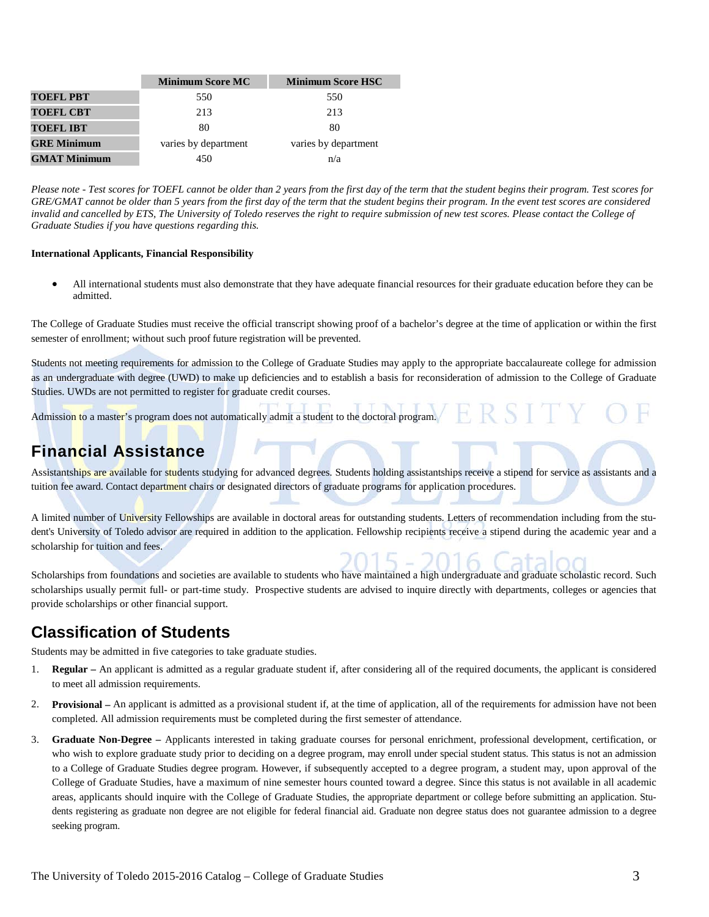|                     | <b>Minimum Score MC</b> | <b>Minimum Score HSC</b> |
|---------------------|-------------------------|--------------------------|
| <b>TOEFL PBT</b>    | 550                     | 550                      |
| <b>TOEFL CBT</b>    | 213                     | 213                      |
| <b>TOEFL IBT</b>    | 80                      | 80                       |
| <b>GRE Minimum</b>  | varies by department    | varies by department     |
| <b>GMAT Minimum</b> | 450                     | n/a                      |

*Please note - Test scores for TOEFL cannot be older than 2 years from the first day of the term that the student begins their program. Test scores for GRE/GMAT cannot be older than 5 years from the first day of the term that the student begins their program. In the event test scores are considered*  invalid and cancelled by ETS, The University of Toledo reserves the right to require submission of new test scores. Please contact the College of *Graduate Studies if you have questions regarding this.*

#### **International Applicants, Financial Responsibility**

• All international students must also demonstrate that they have adequate financial resources for their graduate education before they can be admitted.

The College of Graduate Studies must receive the official transcript showing proof of a bachelor's degree at the time of application or within the first semester of enrollment; without such proof future registration will be prevented.

Students not meeting requirements for admission to the College of Graduate Studies may apply to the appropriate baccalaureate college for admission as an undergraduate with degree (UWD) to make up deficiencies and to establish a basis for reconsideration of admission to the College of Graduate Studies. UWDs are not permitted to register for graduate credit courses.

Admission to a master's program does not automatically admit a student to the doctoral program. ERSIT.

#### **Financial Assistance**

Assistantships are available for students studying for advanced degrees. Students holding assistantships receive a stipend for service as assistants and a tuition fee award. Contact department chairs or designated directors of graduate programs for application procedures.

A limited number of University Fellowships are available in doctoral areas for outstanding students. Letters of recommendation including from the student's University of Toledo advisor are required in addition to the application. Fellowship recipients receive a stipend during the academic year and a scholarship for tuition and fees.

Scholarships from foundations and societies are available to students who have maintained a high undergraduate and graduate scholastic record. Such scholarships usually permit full- or part-time study. Prospective students are advised to inquire directly with departments, colleges or agencies that provide scholarships or other financial support.

#### **Classification of Students**

Students may be admitted in five categories to take graduate studies.

- 1. **Regular –** An applicant is admitted as a regular graduate student if, after considering all of the required documents, the applicant is considered to meet all admission requirements.
- 2. **Provisional –** An applicant is admitted as a provisional student if, at the time of application, all of the requirements for admission have not been completed. All admission requirements must be completed during the first semester of attendance.
- 3. **Graduate Non-Degree –** Applicants interested in taking graduate courses for personal enrichment, professional development, certification, or who wish to explore graduate study prior to deciding on a degree program, may enroll under special student status. This status is not an admission to a College of Graduate Studies degree program. However, if subsequently accepted to a degree program, a student may, upon approval of the College of Graduate Studies, have a maximum of nine semester hours counted toward a degree. Since this status is not available in all academic areas, applicants should inquire with the College of Graduate Studies, the appropriate department or college before submitting an application. Students registering as graduate non degree are not eligible for federal financial aid. Graduate non degree status does not guarantee admission to a degree seeking program.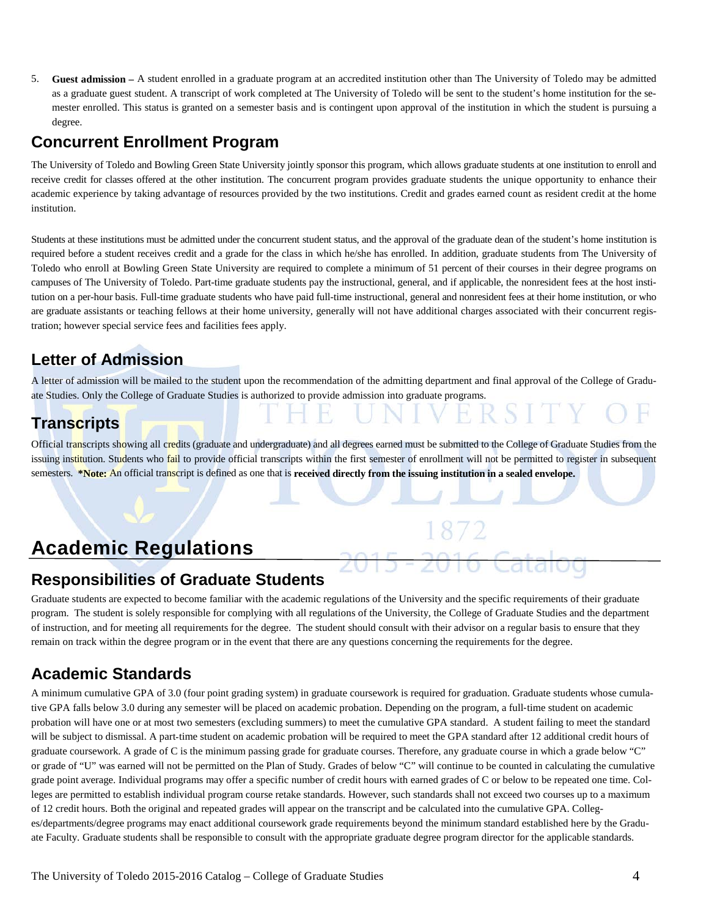5. **Guest admission –** A student enrolled in a graduate program at an accredited institution other than The University of Toledo may be admitted as a graduate guest student. A transcript of work completed at The University of Toledo will be sent to the student's home institution for the semester enrolled. This status is granted on a semester basis and is contingent upon approval of the institution in which the student is pursuing a degree.

#### **Concurrent Enrollment Program**

The University of Toledo and Bowling Green State University jointly sponsor this program, which allows graduate students at one institution to enroll and receive credit for classes offered at the other institution. The concurrent program provides graduate students the unique opportunity to enhance their academic experience by taking advantage of resources provided by the two institutions. Credit and grades earned count as resident credit at the home institution.

Students at these institutions must be admitted under the concurrent student status, and the approval of the graduate dean of the student's home institution is required before a student receives credit and a grade for the class in which he/she has enrolled. In addition, graduate students from The University of Toledo who enroll at Bowling Green State University are required to complete a minimum of 51 percent of their courses in their degree programs on campuses of The University of Toledo. Part-time graduate students pay the instructional, general, and if applicable, the nonresident fees at the host institution on a per-hour basis. Full-time graduate students who have paid full-time instructional, general and nonresident fees at their home institution, or who are graduate assistants or teaching fellows at their home university, generally will not have additional charges associated with their concurrent registration; however special service fees and facilities fees apply.

### **Letter of Admission**

A letter of admission will be mailed to the student upon the recommendation of the admitting department and final approval of the College of Graduate Studies. Only the College of Graduate Studies is authorized to provide admission into graduate programs.

### **Transcripts**

Official transcripts showing all credits (graduate and undergraduate) and all degrees earned must be submitted to the College of Graduate Studies from the issuing institution. Students who fail to provide official transcripts within the first semester of enrollment will not be permitted to register in subsequent semesters. **\*Note:** An official transcript is defined as one that is **received directly from the issuing institution in a sealed envelope.** 

# **Academic Regulations**

#### **Responsibilities of Graduate Students**

Graduate students are expected to become familiar with the academic regulations of the University and the specific requirements of their graduate program. The student is solely responsible for complying with all regulations of the University, the College of Graduate Studies and the department of instruction, and for meeting all requirements for the degree. The student should consult with their advisor on a regular basis to ensure that they remain on track within the degree program or in the event that there are any questions concerning the requirements for the degree.

### **Academic Standards**

A minimum cumulative GPA of 3.0 (four point grading system) in graduate coursework is required for graduation. Graduate students whose cumulative GPA falls below 3.0 during any semester will be placed on academic probation. Depending on the program, a full-time student on academic probation will have one or at most two semesters (excluding summers) to meet the cumulative GPA standard. A student failing to meet the standard will be subject to dismissal. A part-time student on academic probation will be required to meet the GPA standard after 12 additional credit hours of graduate coursework. A grade of C is the minimum passing grade for graduate courses. Therefore, any graduate course in which a grade below "C" or grade of "U" was earned will not be permitted on the Plan of Study. Grades of below "C" will continue to be counted in calculating the cumulative grade point average. Individual programs may offer a specific number of credit hours with earned grades of C or below to be repeated one time. Colleges are permitted to establish individual program course retake standards. However, such standards shall not exceed two courses up to a maximum of 12 credit hours. Both the original and repeated grades will appear on the transcript and be calculated into the cumulative GPA. Colleges/departments/degree programs may enact additional coursework grade requirements beyond the minimum standard established here by the Graduate Faculty. Graduate students shall be responsible to consult with the appropriate graduate degree program director for the applicable standards.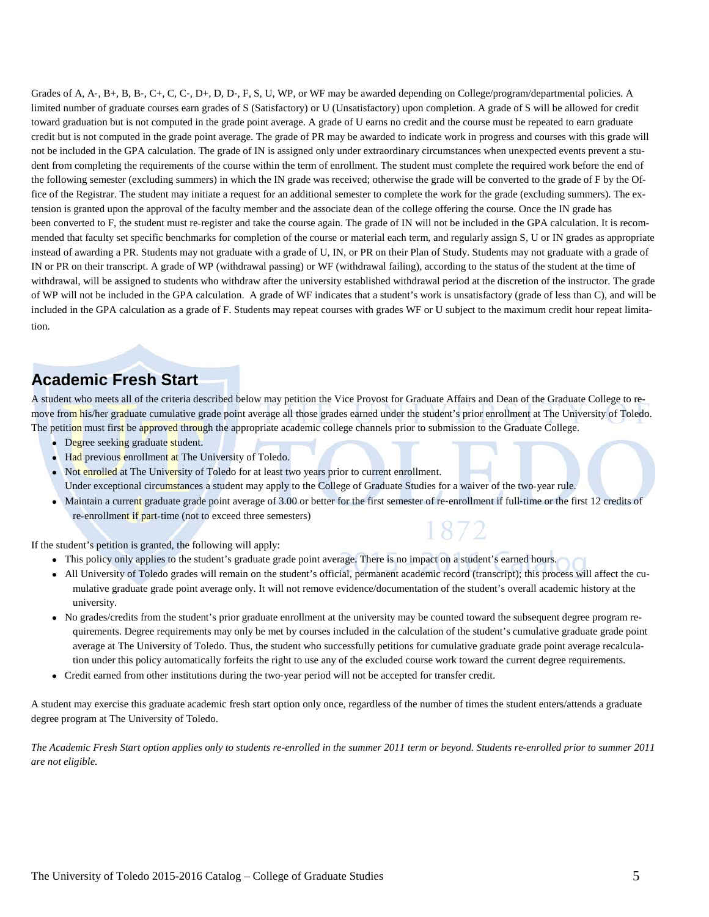Grades of A, A-, B+, B, B-, C+, C, C-, D+, D, D-, F, S, U, WP, or WF may be awarded depending on College/program/departmental policies. A limited number of graduate courses earn grades of S (Satisfactory) or U (Unsatisfactory) upon completion. A grade of S will be allowed for credit toward graduation but is not computed in the grade point average. A grade of U earns no credit and the course must be repeated to earn graduate credit but is not computed in the grade point average. The grade of PR may be awarded to indicate work in progress and courses with this grade will not be included in the GPA calculation. The grade of IN is assigned only under extraordinary circumstances when unexpected events prevent a student from completing the requirements of the course within the term of enrollment. The student must complete the required work before the end of the following semester (excluding summers) in which the IN grade was received; otherwise the grade will be converted to the grade of F by the Office of the Registrar. The student may initiate a request for an additional semester to complete the work for the grade (excluding summers). The extension is granted upon the approval of the faculty member and the associate dean of the college offering the course. Once the IN grade has been converted to F, the student must re-register and take the course again. The grade of IN will not be included in the GPA calculation. It is recommended that faculty set specific benchmarks for completion of the course or material each term, and regularly assign S, U or IN grades as appropriate instead of awarding a PR. Students may not graduate with a grade of U, IN, or PR on their Plan of Study. Students may not graduate with a grade of IN or PR on their transcript. A grade of WP (withdrawal passing) or WF (withdrawal failing), according to the status of the student at the time of withdrawal, will be assigned to students who withdraw after the university established withdrawal period at the discretion of the instructor. The grade of WP will not be included in the GPA calculation. A grade of WF indicates that a student's work is unsatisfactory (grade of less than C), and will be included in the GPA calculation as a grade of F. Students may repeat courses with grades WF or U subject to the maximum credit hour repeat limitation.

#### **Academic Fresh Start**

A student who meets all of the criteria described below may petition the Vice Provost for Graduate Affairs and Dean of the Graduate College to remove from his/her graduate cumulative grade point average all those grades earned under the student's prior enrollment at The University of Toledo. The petition must first be approved through the appropriate academic college channels prior to submission to the Graduate College.

- Degree seeking graduate student.
- Had previous enrollment at The University of Toledo.
- Not enrolled at The University of Toledo for at least two years prior to current enrollment. Under exceptional circumstances a student may apply to the College of Graduate Studies for a waiver of the two-year rule.
- Maintain a current graduate grade point average of 3.00 or better for the first semester of re-enrollment if full-time or the first 12 credits of re-enrollment if part-time (not to exceed three semesters) 1872

If the student's petition is granted, the following will apply:

- This policy only applies to the student's graduate grade point average. There is no impact on a student's earned hours.
- All University of Toledo grades will remain on the student's official, permanent academic record (transcript); this process will affect the cumulative graduate grade point average only. It will not remove evidence/documentation of the student's overall academic history at the university.
- No grades/credits from the student's prior graduate enrollment at the university may be counted toward the subsequent degree program requirements. Degree requirements may only be met by courses included in the calculation of the student's cumulative graduate grade point average at The University of Toledo. Thus, the student who successfully petitions for cumulative graduate grade point average recalculation under this policy automatically forfeits the right to use any of the excluded course work toward the current degree requirements.
- Credit earned from other institutions during the two‐year period will not be accepted for transfer credit.

A student may exercise this graduate academic fresh start option only once, regardless of the number of times the student enters/attends a graduate degree program at The University of Toledo.

*The Academic Fresh Start option applies only to students re-enrolled in the summer 2011 term or beyond. Students re-enrolled prior to summer 2011 are not eligible.*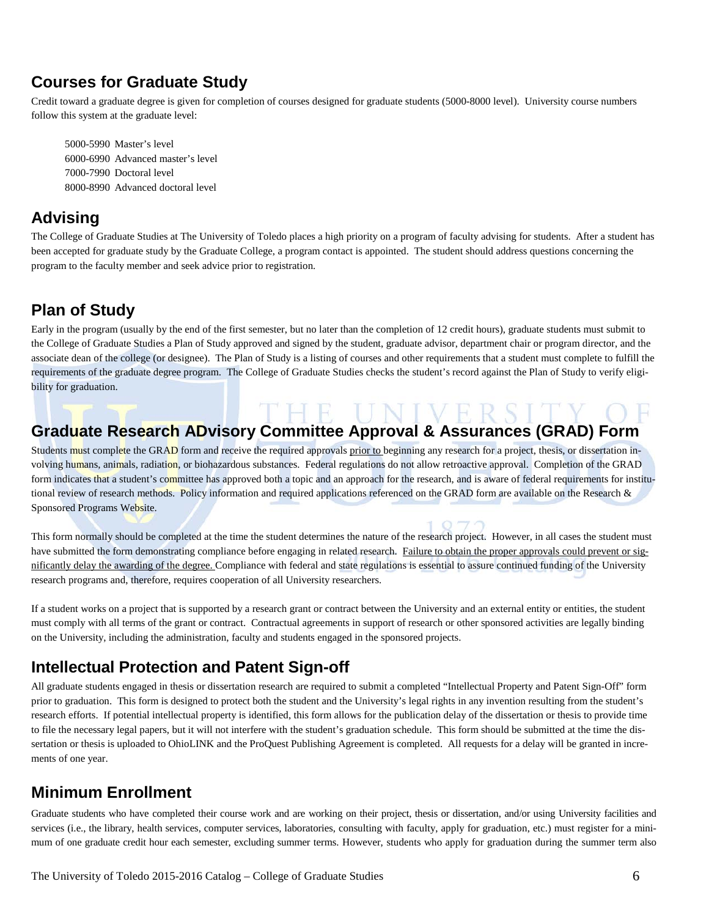### **Courses for Graduate Study**

Credit toward a graduate degree is given for completion of courses designed for graduate students (5000-8000 level). University course numbers follow this system at the graduate level:

5000-5990 Master's level 6000-6990 Advanced master's level 7000-7990 Doctoral level 8000-8990 Advanced doctoral level

### **Advising**

The College of Graduate Studies at The University of Toledo places a high priority on a program of faculty advising for students. After a student has been accepted for graduate study by the Graduate College, a program contact is appointed. The student should address questions concerning the program to the faculty member and seek advice prior to registration.

### **Plan of Study**

Early in the program (usually by the end of the first semester, but no later than the completion of 12 credit hours), graduate students must submit to the College of Graduate Studies a Plan of Study approved and signed by the student, graduate advisor, department chair or program director, and the associate dean of the college (or designee). The Plan of Study is a listing of courses and other requirements that a student must complete to fulfill the requirements of the graduate degree program. The College of Graduate Studies checks the student's record against the Plan of Study to verify eligibility for graduation.

### THE UNIVERSIT **Graduate Research ADvisory Committee Approval & Assurances (GRAD) Form**

Students must complete the GRAD form and receive the required approvals prior to beginning any research for a project, thesis, or dissertation involving humans, animals, radiation, or biohazardous substances. Federal regulations do not allow retroactive approval. Completion of the GRAD form indicates that a student's committee has approved both a topic and an approach for the research, and is aware of federal requirements for institutional review of research methods. Policy information and required applications referenced on the GRAD form are available on the Research & Sponsored Programs Website.

This form normally should be completed at the time the student determines the nature of the research project. However, in all cases the student must have submitted the form demonstrating compliance before engaging in related research. Failure to obtain the proper approvals could prevent or significantly delay the awarding of the degree. Compliance with federal and state regulations is essential to assure continued funding of the University research programs and, therefore, requires cooperation of all University researchers.

If a student works on a project that is supported by a research grant or contract between the University and an external entity or entities, the student must comply with all terms of the grant or contract. Contractual agreements in support of research or other sponsored activities are legally binding on the University, including the administration, faculty and students engaged in the sponsored projects.

### **Intellectual Protection and Patent Sign-off**

All graduate students engaged in thesis or dissertation research are required to submit a completed "Intellectual Property and Patent Sign-Off" form prior to graduation. This form is designed to protect both the student and the University's legal rights in any invention resulting from the student's research efforts. If potential intellectual property is identified, this form allows for the publication delay of the dissertation or thesis to provide time to file the necessary legal papers, but it will not interfere with the student's graduation schedule. This form should be submitted at the time the dissertation or thesis is uploaded to OhioLINK and the ProQuest Publishing Agreement is completed. All requests for a delay will be granted in increments of one year.

### **Minimum Enrollment**

Graduate students who have completed their course work and are working on their project, thesis or dissertation, and/or using University facilities and services (i.e., the library, health services, computer services, laboratories, consulting with faculty, apply for graduation, etc.) must register for a minimum of one graduate credit hour each semester, excluding summer terms. However, students who apply for graduation during the summer term also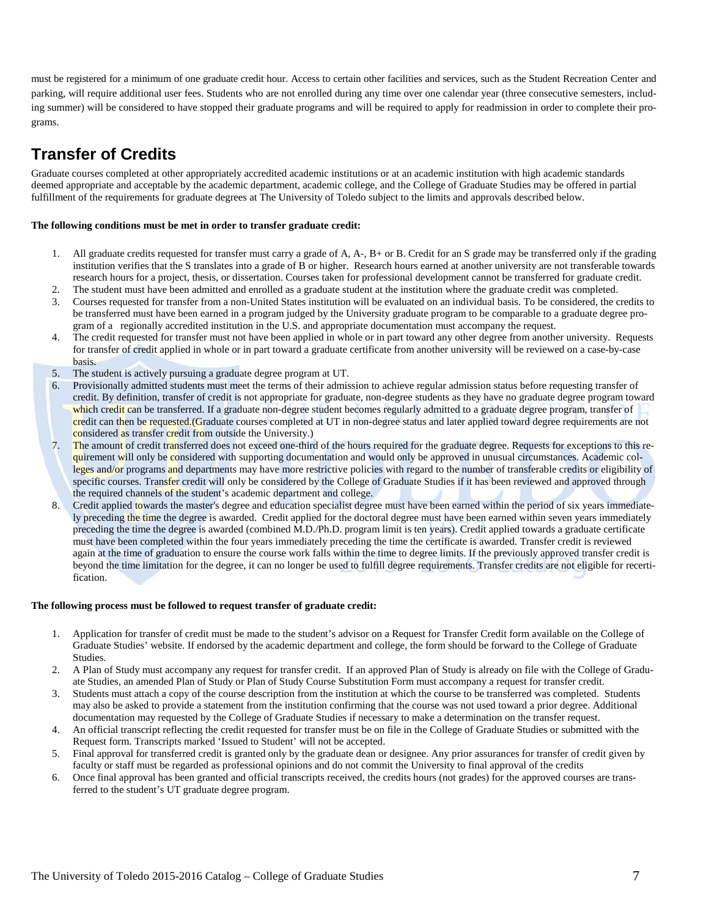must be registered for a minimum of one graduate credit hour. Access to certain other facilities and services, such as the Student Recreation Center and parking, will require additional user fees. Students who are not enrolled during any time over one calendar year (three consecutive semesters, including summer) will be considered to have stopped their graduate programs and will be required to apply for readmission in order to complete their programs.

### **Transfer of Credits**

Graduate courses completed at other appropriately accredited academic institutions or at an academic institution with high academic standards deemed appropriate and acceptable by the academic department, academic college, and the College of Graduate Studies may be offered in partial fulfillment of the requirements for graduate degrees at The University of Toledo subject to the limits and approvals described below.

#### **The following conditions must be met in order to transfer graduate credit:**

- 1. All graduate credits requested for transfer must carry a grade of A, A-, B+ or B. Credit for an S grade may be transferred only if the grading institution verifies that the S translates into a grade of B or higher. Research hours earned at another university are not transferable towards research hours for a project, thesis, or dissertation. Courses taken for professional development cannot be transferred for graduate credit.
- 2. The student must have been admitted and enrolled as a graduate student at the institution where the graduate credit was completed.
- 3. Courses requested for transfer from a non-United States institution will be evaluated on an individual basis. To be considered, the credits to be transferred must have been earned in a program judged by the University graduate program to be comparable to a graduate degree program of a regionally accredited institution in the U.S. and appropriate documentation must accompany the request.
- 4. The credit requested for transfer must not have been applied in whole or in part toward any other degree from another university. Requests for transfer of credit applied in whole or in part toward a graduate certificate from another university will be reviewed on a case-by-case basis.
- 5. The student is actively pursuing a graduate degree program at UT.
- 6. Provisionally admitted students must meet the terms of their admission to achieve regular admission status before requesting transfer of credit. By definition, transfer of credit is not appropriate for graduate, non-degree students as they have no graduate degree program toward which credit can be transferred. If a graduate non-degree student becomes regularly admitted to a graduate degree program, transfer of credit can then be requested.(Graduate courses completed at UT in non-degree status and later applied toward degree requirements are not considered as transfer credit from outside the University.)
- 7. The amount of credit transferred does not exceed one-third of the hours required for the graduate degree. Requests for exceptions to this requirement will only be considered with supporting documentation and would only be approved in unusual circumstances. Academic colleges and/or programs and departments may have more restrictive policies with regard to the number of transferable credits or eligibility of specific courses. Transfer credit will only be considered by the College of Graduate Studies if it has been reviewed and approved through the required channels of the student's academic department and college.
- 8. Credit applied towards the master's degree and education specialist degree must have been earned within the period of six years immediately preceding the time the degree is awarded. Credit applied for the doctoral degree must have been earned within seven years immediately preceding the time the degree is awarded (combined M.D./Ph.D. program limit is ten years). Credit applied towards a graduate certificate must have been completed within the four years immediately preceding the time the certificate is awarded. Transfer credit is reviewed again at the time of graduation to ensure the course work falls within the time to degree limits. If the previously approved transfer credit is beyond the time limitation for the degree, it can no longer be used to fulfill degree requirements. Transfer credits are not eligible for recertification.

#### **The following process must be followed to request transfer of graduate credit:**

- 1. Application for transfer of credit must be made to the student's advisor on [a Request for Transfer Credit](http://www.utoledo.edu/graduate/forms/TransferCred.pdf) form available on the College of Graduate Studies' website. If endorsed by the academic department and college, the form should be forward to the College of Graduate **Studies**
- 2. A Plan of Study must accompany any request for transfer credit. If an approved Plan of Study is already on file with the College of Graduate Studies, an amended Plan of Study or Plan of Study Course Substitution Form must accompany a request for transfer credit.
- 3. Students must attach a copy of the course description from the institution at which the course to be transferred was completed. Students may also be asked to provide a statement from the institution confirming that the course was not used toward a prior degree. Additional documentation may requested by the College of Graduate Studies if necessary to make a determination on the transfer request.
- 4. An official transcript reflecting the credit requested for transfer must be on file in the College of Graduate Studies or submitted with the Request form. Transcripts marked 'Issued to Student' will not be accepted.
- 5. Final approval for transferred credit is granted only by the graduate dean or designee. Any prior assurances for transfer of credit given by faculty or staff must be regarded as professional opinions and do not commit the University to final approval of the credits
- 6. Once final approval has been granted and official transcripts received, the credits hours (not grades) for the approved courses are transferred to the student's UT graduate degree program.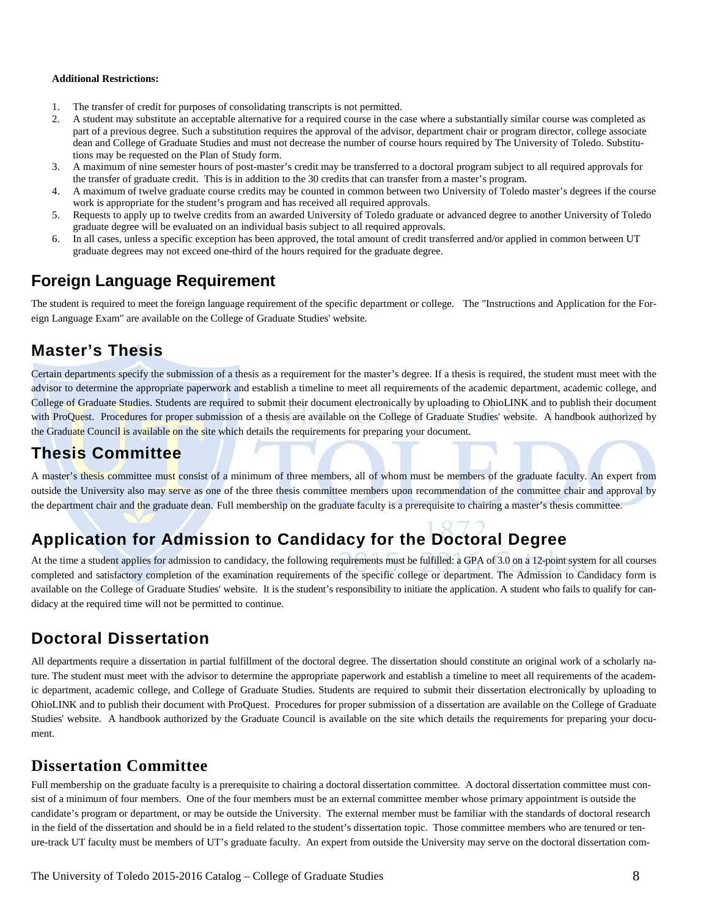#### **Additional Restrictions:**

- 1. The transfer of credit for purposes of consolidating transcripts is not permitted.
- 2. A student may substitute an acceptable alternative for a required course in the case where a substantially similar course was completed as part of a previous degree. Such a substitution requires the approval of the advisor, department chair or program director, college associate dean and College of Graduate Studies and must not decrease the number of course hours required by The University of Toledo. Substitutions may be requested on the Plan of Study form.
- 3. A maximum of nine semester hours of post-master's credit may be transferred to a doctoral program subject to all required approvals for the transfer of graduate credit. This is in addition to the 30 credits that can transfer from a master's program.
- 4. A maximum of twelve graduate course credits may be counted in common between two University of Toledo master's degrees if the course work is appropriate for the student's program and has received all required approvals.
- 5. Requests to apply up to twelve credits from an awarded University of Toledo graduate or advanced degree to another University of Toledo graduate degree will be evaluated on an individual basis subject to all required approvals.
- 6. In all cases, unless a specific exception has been approved, the total amount of credit transferred and/or applied in common between UT graduate degrees may not exceed one-third of the hours required for the graduate degree.

#### **Foreign Language Requirement**

The student is required to meet the foreign language requirement of the specific department or college. The "Instructions and Application for the Foreign Language Exam" are available on the College of Graduate Studies' website.

#### **Master's Thesis**

Certain departments specify the submission of a thesis as a requirement for the master's degree. If a thesis is required, the student must meet with the advisor to determine the appropriate paperwork and establish a timeline to meet all requirements of the academic department, academic college, and College of Graduate Studies. Students are required to submit their document electronically by uploading to OhioLINK and to publish their document with ProQuest. Procedures for proper submission of a thesis are available on the College of Graduate Studies' website. A handbook authorized by the Graduate Council is available on the site which details the requirements for preparing your document.

#### **Thesis Committee**

A master's thesis committee must consist of a minimum of three members, all of whom must be members of the graduate faculty. An expert from outside the University also may serve as one of the three thesis committee members upon recommendation of the committee chair and approval by the department chair and the graduate dean. Full membership on the graduate faculty is a prerequisite to chairing a master's thesis committee.

### **Application for Admission to Candidacy for the Doctoral Degree**

At the time a student applies for admission to candidacy, the following requirements must be fulfilled: a GPA of 3.0 on a 12-point system for all courses completed and satisfactory completion of the examination requirements of the specific college or department. The Admission to Candidacy form is available on the College of Graduate Studies' website. It is the student's responsibility to initiate the application. A student who fails to qualify for candidacy at the required time will not be permitted to continue.

### **Doctoral Dissertation**

All departments require a dissertation in partial fulfillment of the doctoral degree. The dissertation should constitute an original work of a scholarly nature. The student must meet with the advisor to determine the appropriate paperwork and establish a timeline to meet all requirements of the academic department, academic college, and College of Graduate Studies. Students are required to submit their dissertation electronically by uploading to OhioLINK and to publish their document with ProQuest. Procedures for proper submission of a dissertation are available on the College of Graduate Studies' website. A handbook authorized by the Graduate Council is available on the site which details the requirements for preparing your document.

#### **Dissertation Committee**

Full membership on the graduate faculty is a prerequisite to chairing a doctoral dissertation committee. A doctoral dissertation committee must consist of a minimum of four members. One of the four members must be an external committee member whose primary appointment is outside the candidate's program or department, or may be outside the University. The external member must be familiar with the standards of doctoral research in the field of the dissertation and should be in a field related to the student's dissertation topic. Those committee members who are tenured or tenure-track UT faculty must be members of UT's graduate faculty. An expert from outside the University may serve on the doctoral dissertation com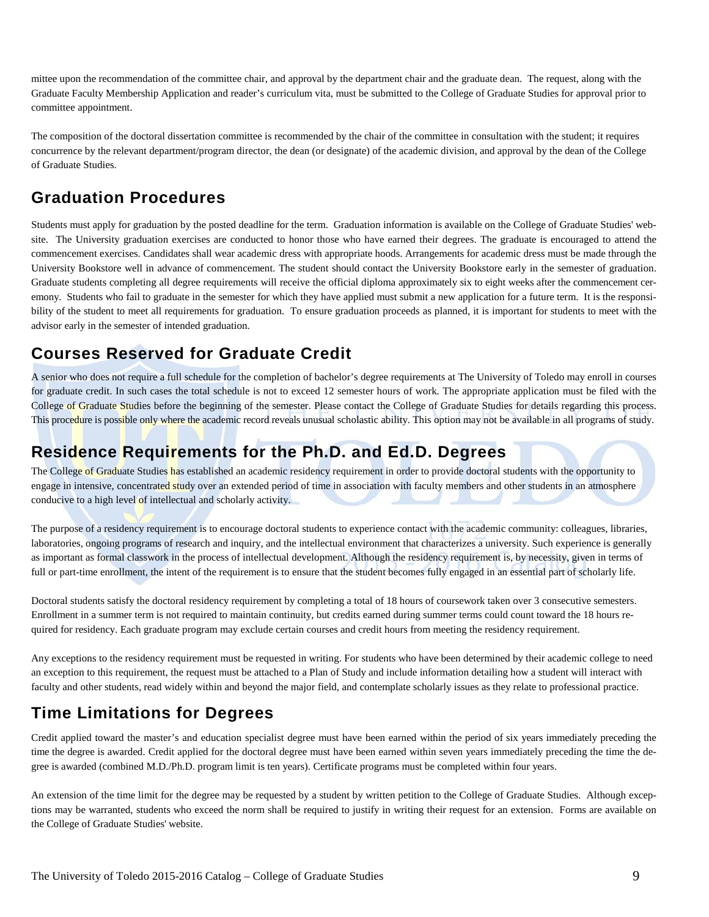mittee upon the recommendation of the committee chair, and approval by the department chair and the graduate dean. The request, along with the Graduate Faculty Membership Application and reader's curriculum vita, must be submitted to the College of Graduate Studies for approval prior to committee appointment.

The composition of the doctoral dissertation committee is recommended by the chair of the committee in consultation with the student; it requires concurrence by the relevant department/program director, the dean (or designate) of the academic division, and approval by the dean of the College of Graduate Studies.

#### **Graduation Procedures**

Students must apply for graduation by the posted deadline for the term. Graduation information is available on the College of Graduate Studies' website. The University graduation exercises are conducted to honor those who have earned their degrees. The graduate is encouraged to attend the commencement exercises. Candidates shall wear academic dress with appropriate hoods. Arrangements for academic dress must be made through the University Bookstore well in advance of commencement. The student should contact the University Bookstore early in the semester of graduation. Graduate students completing all degree requirements will receive the official diploma approximately six to eight weeks after the commencement ceremony. Students who fail to graduate in the semester for which they have applied must submit a new application for a future term. It is the responsibility of the student to meet all requirements for graduation. To ensure graduation proceeds as planned, it is important for students to meet with the advisor early in the semester of intended graduation.

### **Courses Reserved for Graduate Credit**

A senior who does not require a full schedule for the completion of bachelor's degree requirements at The University of Toledo may enroll in courses for graduate credit. In such cases the total schedule is not to exceed 12 semester hours of work. The appropriate application must be filed with the College of Graduate Studies before the beginning of the semester. Please contact the College of Graduate Studies for details regarding this process. This procedure is possible only where the academic record reveals unusual scholastic ability. This option may not be available in all programs of study.

### **Residence Requirements for the Ph.D. and Ed.D. Degrees**

The College of Graduate Studies has established an academic residency requirement in order to provide doctoral students with the opportunity to engage in intensive, concentrated study over an extended period of time in association with faculty members and other students in an atmosphere conducive to a high level of intellectual and scholarly activity.

The purpose of a residency requirement is to encourage doctoral students to experience contact with the academic community: colleagues, libraries, laboratories, ongoing programs of research and inquiry, and the intellectual environment that characterizes a university. Such experience is generally as important as formal classwork in the process of intellectual development. Although the residency requirement is, by necessity, given in terms of full or part-time enrollment, the intent of the requirement is to ensure that the student becomes fully engaged in an essential part of scholarly life.

Doctoral students satisfy the doctoral residency requirement by completing a total of 18 hours of coursework taken over 3 consecutive semesters. Enrollment in a summer term is not required to maintain continuity, but credits earned during summer terms could count toward the 18 hours required for residency. Each graduate program may exclude certain courses and credit hours from meeting the residency requirement.

Any exceptions to the residency requirement must be requested in writing. For students who have been determined by their academic college to need an exception to this requirement, the request must be attached to a Plan of Study and include information detailing how a student will interact with faculty and other students, read widely within and beyond the major field, and contemplate scholarly issues as they relate to professional practice.

### **Time Limitations for Degrees**

Credit applied toward the master's and education specialist degree must have been earned within the period of six years immediately preceding the time the degree is awarded. Credit applied for the doctoral degree must have been earned within seven years immediately preceding the time the degree is awarded (combined M.D./Ph.D. program limit is ten years). Certificate programs must be completed within four years.

An extension of the time limit for the degree may be requested by a student by written petition to the College of Graduate Studies. Although exceptions may be warranted, students who exceed the norm shall be required to justify in writing their request for an extension. Forms are available on the College of Graduate Studies' website.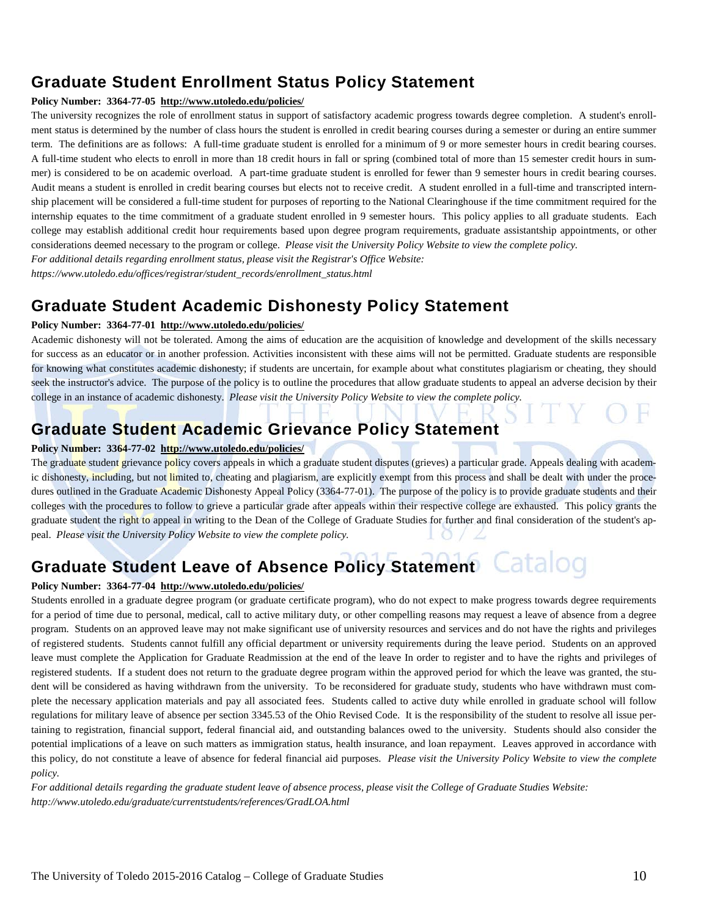### **Graduate Student Enrollment Status Policy Statement**

#### **Policy Number: 3364-77-05 [http://www.utoledo.edu/policies/](http://www.utoledo.edu/policies/index.html)**

The university recognizes the role of enrollment status in support of satisfactory academic progress towards degree completion. A student's enrollment status is determined by the number of class hours the student is enrolled in credit bearing courses during a semester or during an entire summer term. The definitions are as follows: A full-time graduate student is enrolled for a minimum of 9 or more semester hours in credit bearing courses. A full-time student who elects to enroll in more than 18 credit hours in fall or spring (combined total of more than 15 semester credit hours in summer) is considered to be on academic overload. A part-time graduate student is enrolled for fewer than 9 semester hours in credit bearing courses. Audit means a student is enrolled in credit bearing courses but elects not to receive credit. A student enrolled in a full-time and transcripted internship placement will be considered a full-time student for purposes of reporting to the National Clearinghouse if the time commitment required for the internship equates to the time commitment of a graduate student enrolled in 9 semester hours. This policy applies to all graduate students. Each college may establish additional credit hour requirements based upon degree program requirements, graduate assistantship appointments, or other considerations deemed necessary to the program or college. *Please visit the University Policy Website to view the complete policy.* 

*For additional details regarding enrollment status, please visit the Registrar's Office Website: https://www.utoledo.edu/offices/registrar/student\_records/enrollment\_status.html*

#### **Graduate Student Academic Dishonesty Policy Statement**

#### **Policy Number: 3364-77-01 [http://www.utoledo.edu/policies/](http://www.utoledo.edu/policies/index.html)**

Academic dishonesty will not be tolerated. Among the aims of education are the acquisition of knowledge and development of the skills necessary for success as an educator or in another profession. Activities inconsistent with these aims will not be permitted. Graduate students are responsible for knowing what constitutes academic dishonesty; if students are uncertain, for example about what constitutes plagiarism or cheating, they should seek the instructor's advice. The purpose of the policy is to outline the procedures that allow graduate students to appeal an adverse decision by their college in an instance of academic dishonesty. *Please visit the University Policy Website to view the complete policy.*

### **Graduate Student Academic Grievance Policy Statement**

#### **Policy Number: 3364-77-02 [http://www.utoledo.edu/policies/](http://www.utoledo.edu/policies/index.html)**

The graduate student grievance policy covers appeals in which a graduate student disputes (grieves) a particular grade. Appeals dealing with academic dishonesty, including, but not limited to, cheating and plagiarism, are explicitly exempt from this process and shall be dealt with under the procedures outlined in the Graduate Academic Dishonesty Appeal Policy (3364-77-01). The purpose of the policy is to provide graduate students and their colleges with the procedures to follow to grieve a particular grade after appeals within their respective college are exhausted. This policy grants the graduate student the right to appeal in writing to the Dean of the College of Graduate Studies for further and final consideration of the student's appeal. *Please visit the University Policy Website to view the complete policy.*

#### Catalog **Graduate Student Leave of Absence Policy Statement**

#### **Policy Number: 3364-77-04 [http://www.utoledo.edu/policies/](http://www.utoledo.edu/policies/index.html)**

Students enrolled in a graduate degree program (or graduate certificate program), who do not expect to make progress towards degree requirements for a period of time due to personal, medical, call to active military duty, or other compelling reasons may request a leave of absence from a degree program. Students on an approved leave may not make significant use of university resources and services and do not have the rights and privileges of registered students. Students cannot fulfill any official department or university requirements during the leave period. Students on an approved leave must complete the Application for Graduate Readmission at the end of the leave In order to register and to have the rights and privileges of registered students. If a student does not return to the graduate degree program within the approved period for which the leave was granted, the student will be considered as having withdrawn from the university. To be reconsidered for graduate study, students who have withdrawn must complete the necessary application materials and pay all associated fees. Students called to active duty while enrolled in graduate school will follow regulations for military leave of absence per section 3345.53 of the Ohio Revised Code. It is the responsibility of the student to resolve all issue pertaining to registration, financial support, federal financial aid, and outstanding balances owed to the university. Students should also consider the potential implications of a leave on such matters as immigration status, health insurance, and loan repayment. Leaves approved in accordance with this policy, do not constitute a leave of absence for federal financial aid purposes. *Please visit the University Policy Website to view the complete policy.*

*For additional details regarding the graduate student leave of absence process, please visit the College of Graduate Studies Website: http://www.utoledo.edu/graduate/currentstudents/references/GradLOA.html*